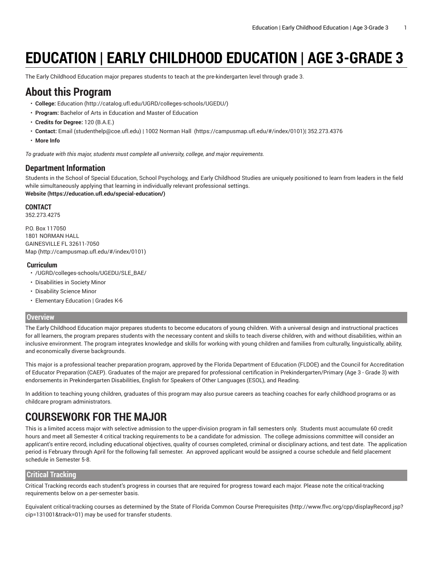# **EDUCATION | EARLY CHILDHOOD EDUCATION | AGE 3-GRADE 3**

The Early Childhood Education major prepares students to teach at the pre-kindergarten level through grade 3.

#### **About this Program**

- **College:** [Education](http://catalog.ufl.edu/UGRD/colleges-schools/UGEDU/) (<http://catalog.ufl.edu/UGRD/colleges-schools/UGEDU/>)
- **Program:** Bachelor of Arts in Education and Master of Education
- **Credits for Degree:** 120 (B.A.E.)
- **Contact:** [Email](mailto:studenthelp@coe.ufl.edu) [\(studenthelp@coe.ufl.edu](studenthelp@coe.ufl.edu)) | [1002 Norman Hall \(https://campusmap.ufl.edu/#/index/0101\)](https://campusmap.ufl.edu/#/index/0101)| 352.273.4376
- **More Info**

*To graduate with this major, students must complete all university, college, and major requirements.*

#### **Department Information**

Students in the School of Special Education, School Psychology, and Early Childhood Studies are uniquely positioned to learn from leaders in the field while simultaneously applying that learning in individually relevant professional settings. **[Website](https://education.ufl.edu/special-education/) (<https://education.ufl.edu/special-education/>)**

#### **CONTACT**

352.273.4275

P.O. Box 117050 1801 NORMAN HALL GAINESVILLE FL 32611-7050 [Map](http://campusmap.ufl.edu/#/index/0101) ([http://campusmap.ufl.edu/#/index/0101\)](http://campusmap.ufl.edu/#/index/0101)

#### **Curriculum**

- /UGRD/colleges-schools/UGEDU/SLE\_BAE/
- Disabilities in Society Minor
- Disability Science Minor
- Elementary Education | Grades K-6

#### **Overview**

The Early Childhood Education major prepares students to become educators of young children. With a universal design and instructional practices for all learners, the program prepares students with the necessary content and skills to teach diverse children, with and without disabilities, within an inclusive environment. The program integrates knowledge and skills for working with young children and families from culturally, linguistically, ability, and economically diverse backgrounds.

This major is a professional teacher preparation program, approved by the Florida Department of Education (FLDOE) and the Council for Accreditation of Educator Preparation (CAEP). Graduates of the major are prepared for professional certification in Prekindergarten/Primary (Age 3 - Grade 3) with endorsements in Prekindergarten Disabilities, English for Speakers of Other Languages (ESOL), and Reading.

In addition to teaching young children, graduates of this program may also pursue careers as teaching coaches for early childhood programs or as childcare program administrators.

# **COURSEWORK FOR THE MAJOR**

This is a limited access major with selective admission to the upper-division program in fall semesters only. Students must accumulate 60 credit hours and meet all Semester 4 critical tracking requirements to be a candidate for admission. The college admissions committee will consider an applicant's entire record, including educational objectives, quality of courses completed, criminal or disciplinary actions, and test date. The application period is February through April for the following fall semester. An approved applicant would be assigned a course schedule and field placement schedule in Semester 5-8.

#### **Critical Tracking**

Critical Tracking records each student's progress in courses that are required for progress toward each major. Please note the critical-tracking requirements below on a per-semester basis.

Equivalent critical-tracking courses as determined by the State of Florida Common Course [Prerequisites](http://www.flvc.org/cpp/displayRecord.jsp?cip=131001&track=01) ([http://www.flvc.org/cpp/displayRecord.jsp?](http://www.flvc.org/cpp/displayRecord.jsp?cip=131001&track=01) [cip=131001&track=01\)](http://www.flvc.org/cpp/displayRecord.jsp?cip=131001&track=01) may be used for transfer students.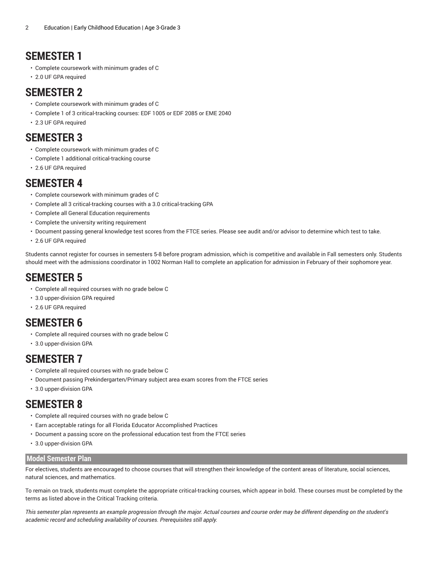# **SEMESTER 1**

- Complete coursework with minimum grades of C
- 2.0 UF GPA required

### **SEMESTER 2**

- Complete coursework with minimum grades of C
- Complete 1 of 3 critical-tracking courses: EDF 1005 or EDF 2085 or EME 2040
- 2.3 UF GPA required

### **SEMESTER 3**

- Complete coursework with minimum grades of C
- Complete 1 additional critical-tracking course
- 2.6 UF GPA required

### **SEMESTER 4**

- Complete coursework with minimum grades of C
- Complete all 3 critical-tracking courses with a 3.0 critical-tracking GPA
- Complete all General Education requirements
- Complete the university writing requirement
- Document passing general knowledge test scores from the FTCE series. Please see audit and/or advisor to determine which test to take.
- 2.6 UF GPA required

Students cannot register for courses in semesters 5-8 before program admission, which is competitive and available in Fall semesters only. Students should meet with the admissions coordinator in 1002 Norman Hall to complete an application for admission in February of their sophomore year.

### **SEMESTER 5**

- Complete all required courses with no grade below C
- 3.0 upper-division GPA required
- 2.6 UF GPA required

### **SEMESTER 6**

- Complete all required courses with no grade below C
- 3.0 upper-division GPA

# **SEMESTER 7**

- Complete all required courses with no grade below C
- Document passing Prekindergarten/Primary subject area exam scores from the FTCE series
- 3.0 upper-division GPA

### **SEMESTER 8**

- Complete all required courses with no grade below C
- Earn acceptable ratings for all Florida Educator Accomplished Practices
- Document a passing score on the professional education test from the FTCE series
- 3.0 upper-division GPA

#### **Model Semester Plan**

For electives, students are encouraged to choose courses that will strengthen their knowledge of the content areas of literature, social sciences, natural sciences, and mathematics.

To remain on track, students must complete the appropriate critical-tracking courses, which appear in bold. These courses must be completed by the terms as listed above in the Critical Tracking criteria.

This semester plan represents an example progression through the major. Actual courses and course order may be different depending on the student's *academic record and scheduling availability of courses. Prerequisites still apply.*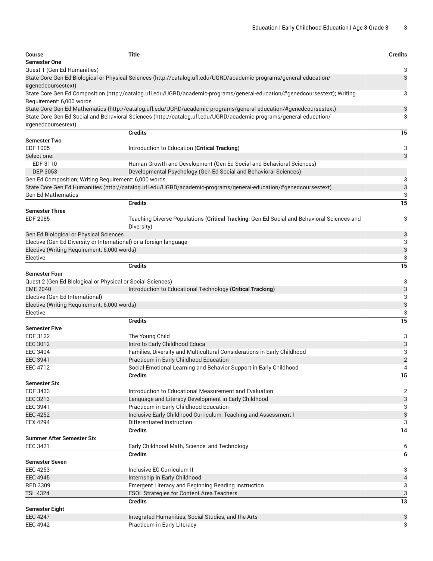| <b>Course</b><br><b>Semester One</b>                               | <b>Title</b>                                                                                                               | <b>Credits</b> |
|--------------------------------------------------------------------|----------------------------------------------------------------------------------------------------------------------------|----------------|
| Quest 1 (Gen Ed Humanities)                                        |                                                                                                                            | 3              |
| #genedcoursestext)                                                 | State Core Gen Ed Biological or Physical Sciences (http://catalog.ufl.edu/UGRD/academic-programs/general-education/        | 3              |
| Requirement: 6,000 words                                           | State Core Gen Ed Composition (http://catalog.ufl.edu/UGRD/academic-programs/general-education/#genedcoursestext); Writing | 3              |
|                                                                    | State Core Gen Ed Mathematics (http://catalog.ufl.edu/UGRD/academic-programs/general-education/#genedcoursestext)          | 3              |
|                                                                    | State Core Gen Ed Social and Behavioral Sciences (http://catalog.ufl.edu/UGRD/academic-programs/general-education/         | 3              |
| #genedcoursestext)                                                 |                                                                                                                            |                |
|                                                                    | <b>Credits</b>                                                                                                             | 15             |
| <b>Semester Two</b>                                                |                                                                                                                            |                |
| EDF 1005                                                           | Introduction to Education (Critical Tracking)                                                                              | 3              |
| Select one:                                                        |                                                                                                                            | 3              |
| EDF 3110                                                           | Human Growth and Development (Gen Ed Social and Behavioral Sciences)                                                       |                |
| DEP 3053                                                           | Developmental Psychology (Gen Ed Social and Behavioral Sciences)                                                           |                |
| Gen Ed Composition; Writing Requirement: 6,000 words               |                                                                                                                            | 3              |
|                                                                    | State Core Gen Ed Humanities (http://catalog.ufl.edu/UGRD/academic-programs/general-education/#genedcoursestext)           | 3              |
| <b>Gen Ed Mathematics</b>                                          |                                                                                                                            | 3              |
|                                                                    | <b>Credits</b>                                                                                                             | 15             |
| <b>Semester Three</b>                                              |                                                                                                                            |                |
| <b>EDF 2085</b>                                                    | Teaching Diverse Populations (Critical Tracking; Gen Ed Social and Behavioral Sciences and<br>Diversity)                   | 3              |
| Gen Ed Biological or Physical Sciences                             |                                                                                                                            | 3              |
| Elective (Gen Ed Diversity or International) or a foreign language |                                                                                                                            | 3              |
| Elective (Writing Requirement: 6,000 words)                        |                                                                                                                            | 3              |
| Elective                                                           |                                                                                                                            | 3              |
|                                                                    | <b>Credits</b>                                                                                                             | 15             |
| <b>Semester Four</b>                                               |                                                                                                                            |                |
| Quest 2 (Gen Ed Biological or Physical or Social Sciences)         |                                                                                                                            | 3              |
| <b>EME 2040</b>                                                    | Introduction to Educational Technology (Critical Tracking)                                                                 | 3              |
| Elective (Gen Ed International)                                    |                                                                                                                            | 3              |
| Elective (Writing Requirement: 6,000 words)                        |                                                                                                                            | 3              |
| Elective                                                           |                                                                                                                            | 3              |
|                                                                    | <b>Credits</b>                                                                                                             | 15             |
| <b>Semester Five</b>                                               |                                                                                                                            |                |
| EDF 3122                                                           | The Young Child                                                                                                            | 3              |
| <b>EEC 3012</b>                                                    | Intro to Early Childhood Educa                                                                                             | 3              |
| <b>EEC 3404</b>                                                    | Families, Diversity and Multicultural Considerations in Early Childhood                                                    | 3              |
| <b>EEC 3941</b><br>EEC 4712                                        | Practicum in Early Childhood Education<br>Social-Emotional Learning and Behavior Support in Early Childhood                | $\overline{2}$ |
|                                                                    | <b>Credits</b>                                                                                                             | 4<br>15        |
| <b>Semester Six</b>                                                |                                                                                                                            |                |
| EDF 3433                                                           | Introduction to Educational Measurement and Evaluation                                                                     | $\overline{2}$ |
| <b>EEC 3213</b>                                                    | Language and Literacy Development in Early Childhood                                                                       | 3              |
| EEC 3941                                                           | Practicum in Early Childhood Education                                                                                     | 3              |
| <b>EEC 4252</b>                                                    | Inclusive Early Childhood Curriculum, Teaching and Assessment I                                                            | 3              |
| <b>EEX 4294</b>                                                    | Differentiated Instruction                                                                                                 | 3              |
|                                                                    | <b>Credits</b>                                                                                                             | 14             |
| <b>Summer After Semester Six</b>                                   |                                                                                                                            |                |
| <b>EEC 3421</b>                                                    | Early Childhood Math, Science, and Technology                                                                              | 6              |
|                                                                    | <b>Credits</b>                                                                                                             | 6              |
| <b>Semester Seven</b>                                              |                                                                                                                            |                |
| <b>EEC 4253</b>                                                    | Inclusive EC Curriculum II                                                                                                 | 3              |
| <b>EEC 4945</b>                                                    | Internship in Early Childhood                                                                                              | $\overline{4}$ |
| <b>RED 3309</b>                                                    | <b>Emergent Literacy and Beginning Reading Instruction</b>                                                                 | 3              |
| <b>TSL 4324</b>                                                    | <b>ESOL Strategies for Content Area Teachers</b>                                                                           | 3              |
|                                                                    | Credits                                                                                                                    | 13             |
| <b>Semester Eight</b>                                              |                                                                                                                            |                |
| <b>EEC 4247</b>                                                    | Integrated Humanities, Social Studies, and the Arts                                                                        | 3              |
| <b>EEC 4942</b>                                                    | Practicum in Early Literacy                                                                                                | 3              |
|                                                                    |                                                                                                                            |                |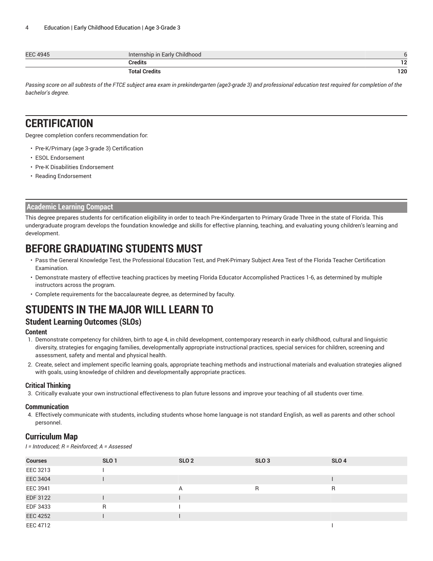| <b>EEC 4945</b> | <b>Early Childhood</b><br>Internship in |            |
|-----------------|-----------------------------------------|------------|
|                 | <b>Credits</b>                          | ה ד<br>1 Z |
|                 | Total Credits                           | 120        |

Passing score on all subtests of the FTCE subject area exam in prekindergarten (age3-grade 3) and professional education test required for completion of the *bachelor's degree.*

#### **CERTIFICATION**

Degree completion confers recommendation for:

- Pre-K/Primary (age 3-grade 3) Certification
- ESOL Endorsement
- Pre-K Disabilities Endorsement
- Reading Endorsement

#### **Academic Learning Compact**

This degree prepares students for certification eligibility in order to teach Pre-Kindergarten to Primary Grade Three in the state of Florida. This undergraduate program develops the foundation knowledge and skills for effective planning, teaching, and evaluating young children's learning and development.

# **BEFORE GRADUATING STUDENTS MUST**

- Pass the General Knowledge Test, the Professional Education Test, and PreK-Primary Subject Area Test of the Florida Teacher Certification Examination.
- Demonstrate mastery of effective teaching practices by meeting Florida Educator Accomplished Practices 1-6, as determined by multiple instructors across the program.
- Complete requirements for the baccalaureate degree, as determined by faculty.

# **STUDENTS IN THE MAJOR WILL LEARN TO**

#### **Student Learning Outcomes (SLOs)**

#### **Content**

- 1. Demonstrate competency for children, birth to age 4, in child development, contemporary research in early childhood, cultural and linguistic diversity, strategies for engaging families, developmentally appropriate instructional practices, special services for children, screening and assessment, safety and mental and physical health.
- 2. Create, select and implement specific learning goals, appropriate teaching methods and instructional materials and evaluation strategies aligned with goals, using knowledge of children and developmentally appropriate practices.

#### **Critical Thinking**

3. Critically evaluate your own instructional effectiveness to plan future lessons and improve your teaching of all students over time.

#### **Communication**

4. Effectively communicate with students, including students whose home language is not standard English, as well as parents and other school personnel.

#### **Curriculum Map**

*I = Introduced; R = Reinforced; A = Assessed*

| <b>Courses</b>  | SLO <sub>1</sub> | SLO <sub>2</sub> | SLO <sub>3</sub> | SLO <sub>4</sub> |
|-----------------|------------------|------------------|------------------|------------------|
| EEC 3213        |                  |                  |                  |                  |
| <b>EEC 3404</b> |                  |                  |                  |                  |
| EEC 3941        |                  | A                | R                | R                |
| EDF 3122        |                  |                  |                  |                  |
| EDF 3433        | R                |                  |                  |                  |
| <b>EEC 4252</b> |                  |                  |                  |                  |
| EEC 4712        |                  |                  |                  |                  |